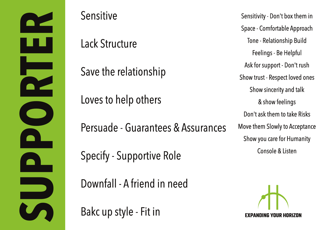**SPUPPER** 

#### Sensitive

## Lack Structure

Save the relationship

Loves to help others

Persuade - Guarantees & Assurances

Specify - Supportive Role

Downfall - A friend in need

Bakc up style - Fit in

Sensitivity - Don't box them in Space - Comfortable Approach Tone - Relationship Build Feelings - Be Helpful Ask for support - Don't rush Show trust - Respect loved ones Show sincerity and talk & show feelings Don't ask them to take Risks Move them Slowly to Acceptance Show you care for Humanity Console & Listen

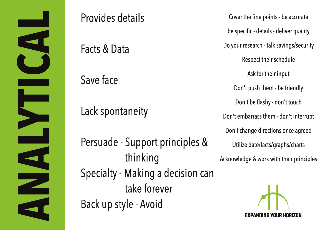

### Provides details

Facts & Data

Save face

### Lack spontaneity

Persuade - Support principles & Specialty - Making a decision can Back up style - Avoid thinking and their principles Acknowledge & work with their principles take forever

Cover the fine points - be accurate be specific - details - deliver quality Do your research - talk savings/security Respect their schedule Ask for their input Don't push them - be friendly Don't be flashy - don't touch Don't embarrass them - don't interrupt Don't change directions once agreed Utilize date/facts/graphs/charts

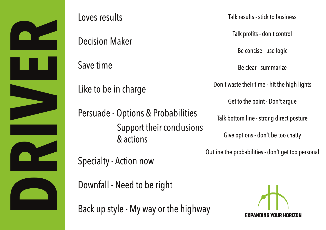

# Loves results

Decision Maker

Save time

Like to be in charge

Persuade - Options & Probabilities Support their conclusions & actions

Talk results - stick to business

Talk profits - don't control

Be concise - use logic

Be clear - summarize

Don't waste their time - hit the high lights

Get to the point - Don't argue

Talk bottom line - strong direct posture

Give options - don't be too chatty

Outline the probabilities - don't get too personal

Specialty - Action now

Downfall - Need to be right

Back up style - My way or the highway